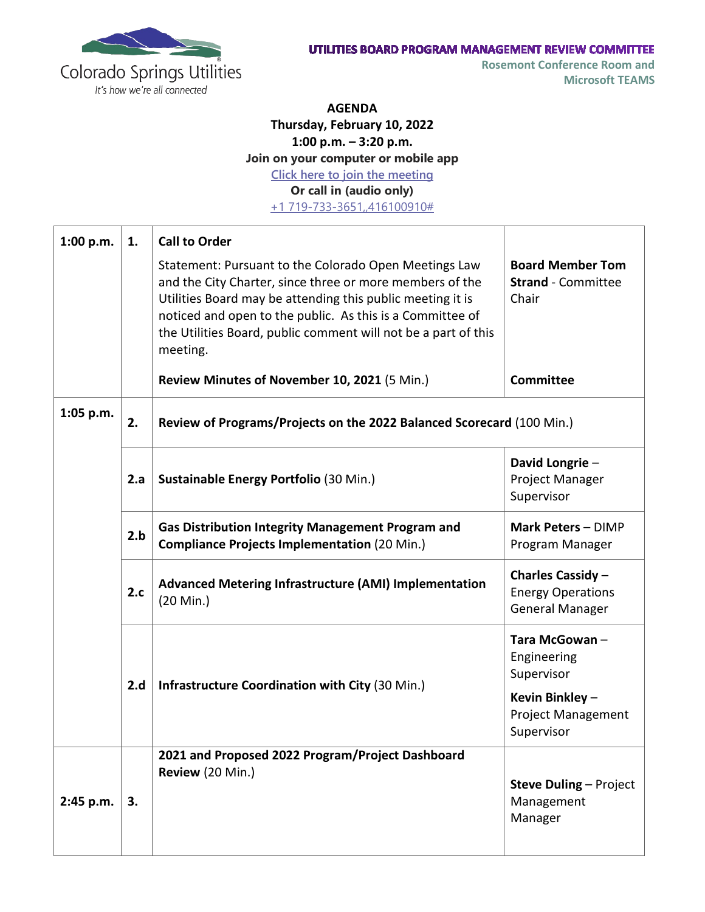

**AGENDA**

**Thursday, February 10, 2022**

**1:00 p.m. – 3:20 p.m.**

**Join on your computer or mobile app**

**[Click here to join the meeting](https://nam11.safelinks.protection.outlook.com/ap/t-59584e83/?url=https%3A%2F%2Fteams.microsoft.com%2Fl%2Fmeetup-join%2F19%253ameeting_NmI0MWUwNzctYjA2NC00ZGNmLTlhZDktOGM2YzM3MmVlOGEz%2540thread.v2%2F0%3Fcontext%3D%257b%2522Tid%2522%253a%25224ab4a7ce-079f-4346-b2b7-815f0d471eec%2522%252c%2522Oid%2522%253a%2522534bc1b1-6c9d-4f5a-9466-d020ddf237ee%2522%257d&data=04%7C01%7Cbschoemer%40csu.org%7C52a0ea4969824903027608d9a3006b0a%7C4ab4a7ce079f4346b2b7815f0d471eec%7C0%7C0%7C637720044472117764%7CUnknown%7CTWFpbGZsb3d8eyJWIjoiMC4wLjAwMDAiLCJQIjoiV2luMzIiLCJBTiI6Ik1haWwiLCJXVCI6Mn0%3D%7C1000&sdata=fCgB6YhYe8rF9ERWwffzzvdW990%2BiDRFVnl6vfO%2Bh2s%3D&reserved=0)**

**Or call in (audio only)**

[+1 719-733-3651,,416100910#](tel:+17197333651,,416100910#%20)

| 1:00 p.m. | 1.  | <b>Call to Order</b>                                                                                                                                                                                                                                                                                                       |                                                                         |  |
|-----------|-----|----------------------------------------------------------------------------------------------------------------------------------------------------------------------------------------------------------------------------------------------------------------------------------------------------------------------------|-------------------------------------------------------------------------|--|
|           |     | Statement: Pursuant to the Colorado Open Meetings Law<br>and the City Charter, since three or more members of the<br>Utilities Board may be attending this public meeting it is<br>noticed and open to the public. As this is a Committee of<br>the Utilities Board, public comment will not be a part of this<br>meeting. | <b>Board Member Tom</b><br><b>Strand</b> - Committee<br>Chair           |  |
|           |     | Review Minutes of November 10, 2021 (5 Min.)                                                                                                                                                                                                                                                                               | <b>Committee</b>                                                        |  |
| 1:05 p.m. | 2.  | Review of Programs/Projects on the 2022 Balanced Scorecard (100 Min.)                                                                                                                                                                                                                                                      |                                                                         |  |
|           | 2.a | Sustainable Energy Portfolio (30 Min.)                                                                                                                                                                                                                                                                                     | David Longrie-<br>Project Manager<br>Supervisor                         |  |
|           | 2.b | <b>Gas Distribution Integrity Management Program and</b><br><b>Compliance Projects Implementation (20 Min.)</b>                                                                                                                                                                                                            | Mark Peters - DIMP<br>Program Manager                                   |  |
|           | 2.c | <b>Advanced Metering Infrastructure (AMI) Implementation</b><br>(20 Min.)                                                                                                                                                                                                                                                  | Charles Cassidy -<br><b>Energy Operations</b><br><b>General Manager</b> |  |
|           | 2.d | Infrastructure Coordination with City (30 Min.)                                                                                                                                                                                                                                                                            | Tara McGowan-<br>Engineering<br>Supervisor                              |  |
|           |     |                                                                                                                                                                                                                                                                                                                            | Kevin Binkley-<br><b>Project Management</b><br>Supervisor               |  |
| 2:45 p.m. | 3.  | 2021 and Proposed 2022 Program/Project Dashboard<br>Review (20 Min.)                                                                                                                                                                                                                                                       | <b>Steve Duling - Project</b><br>Management<br>Manager                  |  |